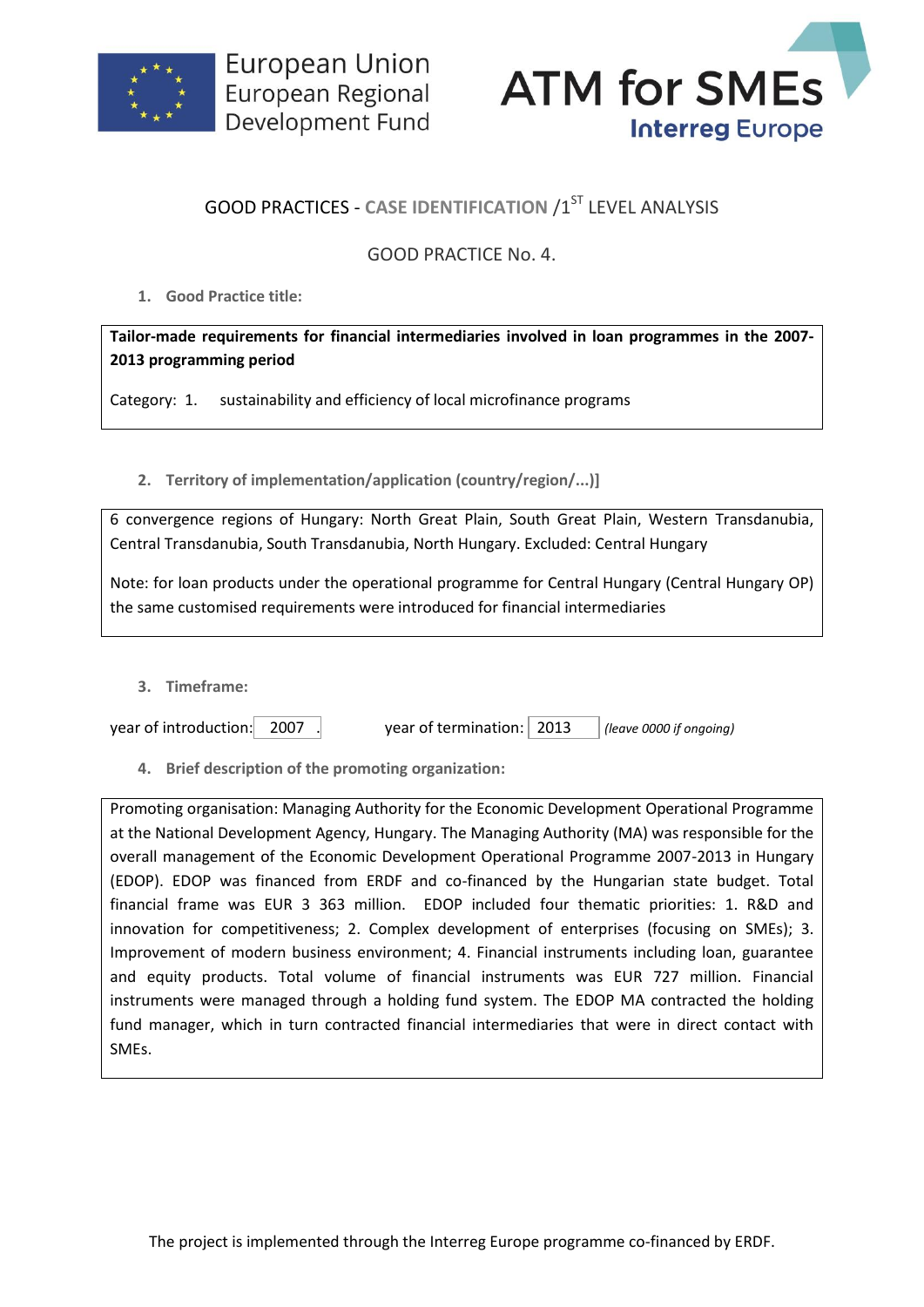



## **GOOD PRACTICES - CASE IDENTIFICATION /1ST LEVEL ANALYSIS**

## GOOD PRACTICE No. 4.

**1. Good Practice title:**

**Tailor-made requirements for financial intermediaries involved in loan programmes in the 2007- 2013 programming period**

Category: 1. sustainability and efficiency of local microfinance programs

**2. Territory of implementation/application (country/region/...)]**

6 convergence regions of Hungary: North Great Plain, South Great Plain, Western Transdanubia, Central Transdanubia, South Transdanubia, North Hungary. Excluded: Central Hungary

Note: for loan products under the operational programme for Central Hungary (Central Hungary OP) the same customised requirements were introduced for financial intermediaries

**3. Timeframe:**

year of introduction: 2007 . year of termination: 2013 *(leave 0000 if ongoing)*

**4. Brief description of the promoting organization:**

Promoting organisation: Managing Authority for the Economic Development Operational Programme at the National Development Agency, Hungary. The Managing Authority (MA) was responsible for the overall management of the Economic Development Operational Programme 2007-2013 in Hungary (EDOP). EDOP was financed from ERDF and co-financed by the Hungarian state budget. Total financial frame was EUR 3 363 million. EDOP included four thematic priorities: 1. R&D and innovation for competitiveness; 2. Complex development of enterprises (focusing on SMEs); 3. Improvement of modern business environment; 4. Financial instruments including loan, guarantee and equity products. Total volume of financial instruments was EUR 727 million. Financial instruments were managed through a holding fund system. The EDOP MA contracted the holding fund manager, which in turn contracted financial intermediaries that were in direct contact with SMEs.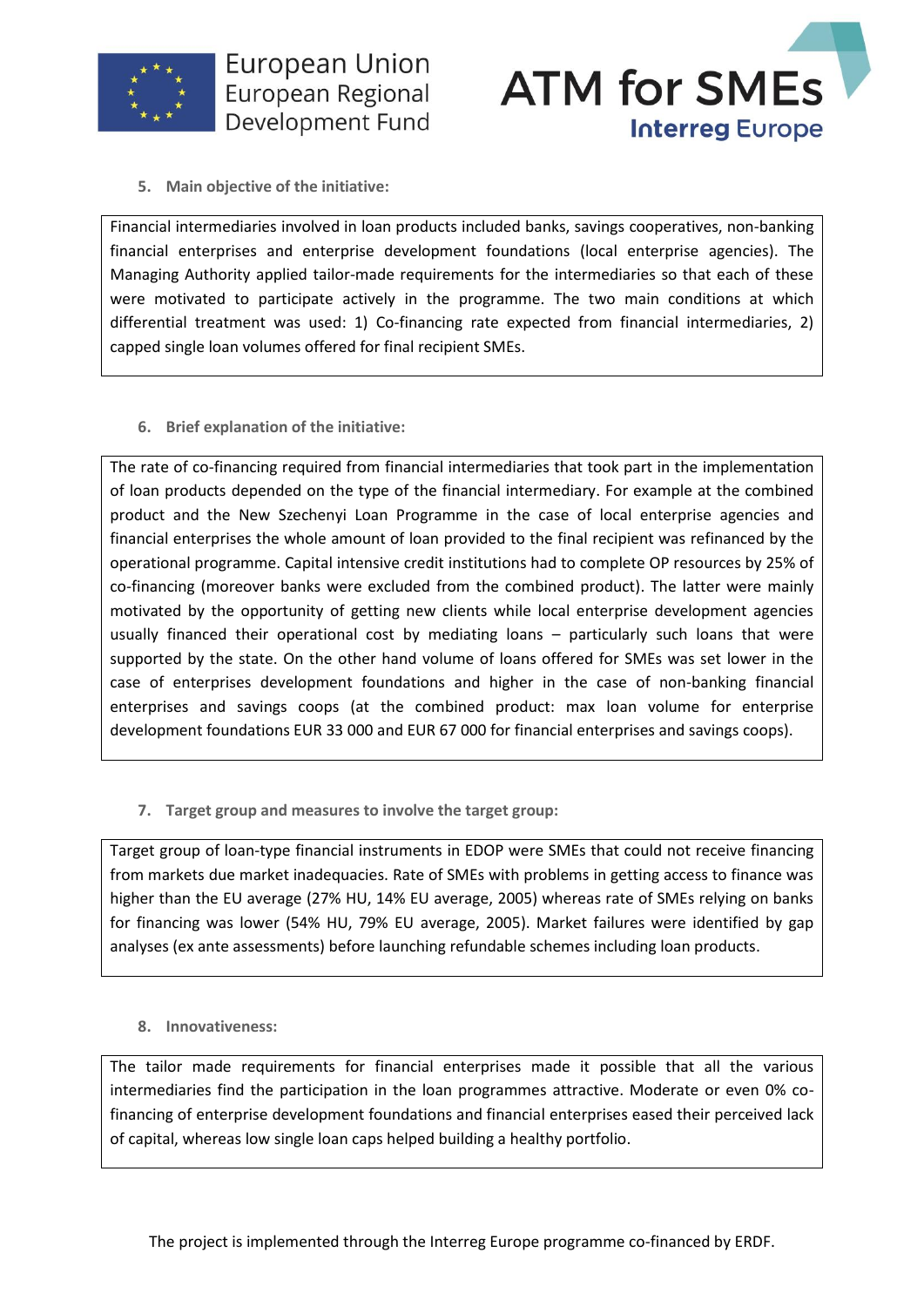



**5. Main objective of the initiative:**

Financial intermediaries involved in loan products included banks, savings cooperatives, non-banking financial enterprises and enterprise development foundations (local enterprise agencies). The Managing Authority applied tailor-made requirements for the intermediaries so that each of these were motivated to participate actively in the programme. The two main conditions at which differential treatment was used: 1) Co-financing rate expected from financial intermediaries, 2) capped single loan volumes offered for final recipient SMEs.

**6. Brief explanation of the initiative:**

The rate of co-financing required from financial intermediaries that took part in the implementation of loan products depended on the type of the financial intermediary. For example at the combined product and the New Szechenyi Loan Programme in the case of local enterprise agencies and financial enterprises the whole amount of loan provided to the final recipient was refinanced by the operational programme. Capital intensive credit institutions had to complete OP resources by 25% of co-financing (moreover banks were excluded from the combined product). The latter were mainly motivated by the opportunity of getting new clients while local enterprise development agencies usually financed their operational cost by mediating loans – particularly such loans that were supported by the state. On the other hand volume of loans offered for SMEs was set lower in the case of enterprises development foundations and higher in the case of non-banking financial enterprises and savings coops (at the combined product: max loan volume for enterprise development foundations EUR 33 000 and EUR 67 000 for financial enterprises and savings coops).

**7. Target group and measures to involve the target group:**

Target group of loan-type financial instruments in EDOP were SMEs that could not receive financing from markets due market inadequacies. Rate of SMEs with problems in getting access to finance was higher than the EU average (27% HU, 14% EU average, 2005) whereas rate of SMEs relying on banks for financing was lower (54% HU, 79% EU average, 2005). Market failures were identified by gap analyses (ex ante assessments) before launching refundable schemes including loan products.

## **8. Innovativeness:**

The tailor made requirements for financial enterprises made it possible that all the various intermediaries find the participation in the loan programmes attractive. Moderate or even 0% cofinancing of enterprise development foundations and financial enterprises eased their perceived lack of capital, whereas low single loan caps helped building a healthy portfolio.